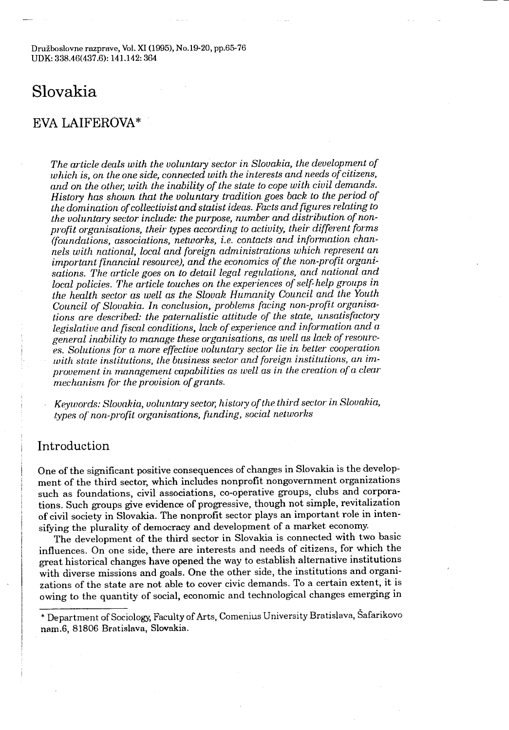Družboslovne razprave, Vol. XI (1995), No.19-20, pp.65-76 UDK: 338.46(437.6): 141.142: 364

# Slovakia

# EVA LAIFEROVA\*

The article deals with the voluntary sector in Slovakia, the development of which is, on the one side, connected with the interests and needs of citizens, and on the other, with the inability of the state to cope with civil demands. History has shown that the voluntary tradition goes back to the period of the domination of collectivist and statist ideas . Facts and figures relating to the voluntary sector include: the purpose, number and distribution of nonprofit organisations, their types according to activity, their different forms (foundations, associations, networks, i .e . contacts and information channels with national, local and foreign administrations which represent an important financial resource), and the economics of the non-profit organisations. The article goes on to detail legal regulations, and national and local policies. The article touches on the experiences of self-help groups in the health sector as well as the Slovak Humanity Council and the Youth Council of Slovakia . In conclusion, problems facing non-profit organisations are described: the paternalistic attitude of the state, unsatisfactory legislative and fiscal conditions, lack of experience and information and a general inability to manage these organisations, as well as lack of resources. Solutions for a more effective voluntary sector lie in better cooperation with state institutions, the business sector and foreign institutions, an improvement in management capabilities as well as in the creation of a clear mechanism for the provision of grants.

Keywords: Slovakia, voluntary sector, history of the third sector in Slovakia, types of non-profit organisations, funding, social networks

# Introduction

One of the significant positive consequences of changes in Slovakia is the development of the third sector, which includes nonprofit nongovernment organizations such as foundations, civil associations, co-operative groups, clubs and corporations . Such groups give evidence of progressive, though not simple, revitalization of civil society in Slovakia . The nonprofit sector plays an important role in intensifying the plurality of democracy and development of a market economy.

The development of the third sector in Slovakia is connected with two basic influences . On one side, there are interests and needs of citizens, for which the great historical changes have opened the way to establish alternative institutions with diverse missions and goals. One the other side, the institutions and organizations of the state are not able to cover civic demands . To a certain extent, it is owing to the quantity of social, economic and technological changes emerging in

<sup>\*</sup> Department of Sociology, Faculty of Arts, Comenius University Bratislava, Šafarikovo nam.6, 81806 Bratislava, Slovakia .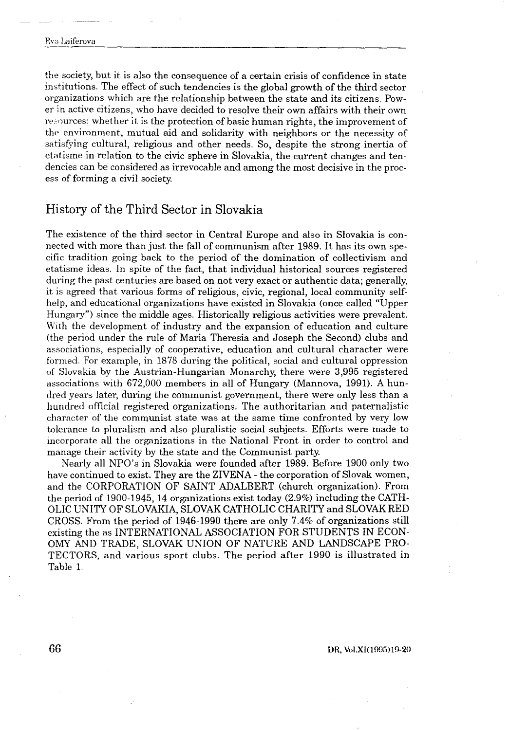$\frac{1}{\sqrt{2}}\left( \frac{1}{\sqrt{2}}\right) ^{2}+\frac{1}{\sqrt{2}}\left( \frac{1}{\sqrt{2}}\right) ^{2}+\frac{1}{\sqrt{2}}\left( \frac{1}{\sqrt{2}}\right) ^{2}+\frac{1}{\sqrt{2}}\left( \frac{1}{\sqrt{2}}\right) ^{2}+\frac{1}{\sqrt{2}}\left( \frac{1}{\sqrt{2}}\right) ^{2}+\frac{1}{\sqrt{2}}\left( \frac{1}{\sqrt{2}}\right) ^{2}+\frac{1}{\sqrt{2}}\left( \frac{1}{\sqrt{2}}\right) ^{2}+\frac{1}{\sqrt{2}}$ 

the society, but it is also the consequence of a certain crisis of confidence in state institutions . The effect of such tendencies is the global growth of the third sector organizations which are the relationship between the state and its citizens . Power in active citizens, who have decided to resolve their own affairs with their own resources: whether it is the protection of basic human rights, the improvement of the environment, mutual aid and solidarity with neighbors or the necessity of satisfying cultural, religious and other needs . So, despite the strong inertia of etatisme in relation to the civic sphere in Slovakia, the current changes and tendencies can be considered as irrevocable and among the most decisive in the process of forming a civil society.

# History of the Third Sector in Slovakia

The existence of the third sector in Central Europe and also in Slovakia is connected with more than just the fall of communism after 1989 . It has its own specific tradition going back to the period of the domination of collectivism and etatisme ideas . In spite of the fact, that individual historical sources registered during the past centuries are based on not very exact or authentic data; generally, it is agreed that various forms of religious, civic, regional, local community selfhelp, and educational organizations have existed in Slovakia (once called "Upper Hungary") since the middle ages. Historically religious activities were prevalent. With the development of industry and the expansion of education and culture (the period under the rule of Maria Theresia and Joseph the Second) clubs and associations, especially of cooperative, education and cultural character were formed. For example, in 1878 during the political, social and cultural oppression of Slovakia by the Austrian-Hungarian Monarchy, there were 3,995 registered associations with 672,000 members in all of Hungary (Mannova, 1991) . A hundred years later, during the communist government, there were only less than a hundred official registered organizations . The authoritarian and paternalistic character of the communist state was at the same time confronted by very low tolerance to pluralism and also pluralistic social subjects . Efforts were made to incorporate all the organizations in the National Front in order to control and manage their activity by the state and the Communist party .

Nearly all NPO's in Slovakia were founded after 1989 . Before 1900 only two have continued to exist. They are the ZIVENA - the corporation of Slovak women, and the CORPORATION OF SAINT ADALBERT (church organization). From the period of 1900-1945, 14 organizations exist today (2 .9%) including the CATH-OLIC UNITY OF SLOVAKIA, SLOVAK CATHOLIC CHARITY and SLOVAK RED CROSS. From the period of 1946-1990 there are only 7 .4% of organizations still existing the as INTERNATIONAL ASSOCIATION FOR STUDENTS IN ECON-OMY AND TRADE, SLOVAK UNION OF NATURE AND LANDSCAPE PRO-TECTORS, and various sport clubs . The period after 1990 is illustrated in Table 1.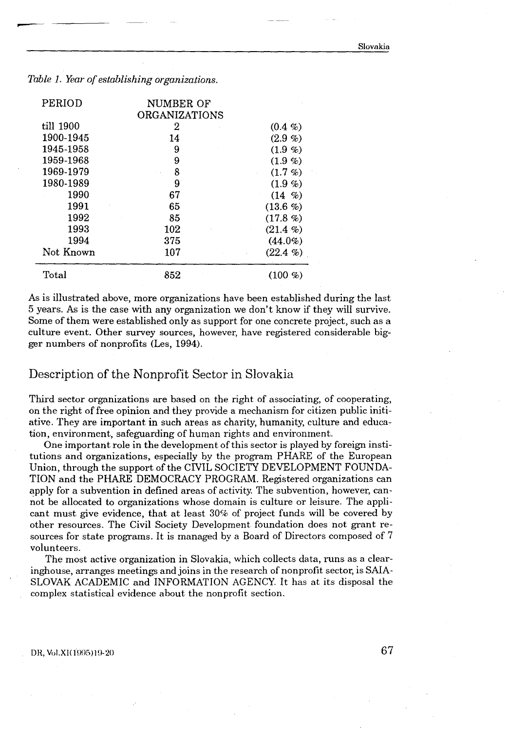| PERIOD    | NUMBER OF<br>ORGANIZATIONS |                     |
|-----------|----------------------------|---------------------|
| till 1900 |                            |                     |
| 1900-1945 | 2<br>14                    | $(0.4 \%)$<br>(2.9% |
| 1945-1958 | 9                          | (1.9 %)             |
| 1959-1968 | 9                          | $(1.9 \%)$          |
| 1969-1979 | 8                          | (1.7 %)             |
| 1980-1989 | 9                          | (1.9 %)             |
| 1990      | 67                         | $(14 \, \%)$        |
|           | 65                         | (13.6 %)            |
| 1991      |                            | (17.8 %)            |
| 1992      | 85                         |                     |
| 1993      | 102                        | (21.4%              |
| 1994      | 375                        | $(44.0\%)$          |
| Not Known | 107                        | $(22.4\% )$         |

As is illustrated above, more organizations have been established during the last 5 years . As is the case with any organization we don't know if they will survive . Some of them were established only as support for one concrete project, such as a culture event. Other survey sources, however, have registered considerable bigger numbers of nonprofits (Les, 1994) .

# Description of the Nonprofit Sector in Slovakia

Third sector organizations are based on the right of associating, of cooperating, on the right of free opinion and they provide a mechanism for citizen public initiative . They are important in such areas as charity, humanity, culture and education, environment, safeguarding of human rights and environment.

One important role in the development of this sector is played by foreign institutions and organizations, especially by the program PHARE of the European Union, through the support of the CIVIL SOCIETY DEVELOPMENT FOUNDA-TION and the PHARE DEMOCRACY PROGRAM. Registered organizations can apply for a subvention in defined areas of activity. The subvention, however, cannot be allocated to organizations whose domain is culture or leisure . The applicant must give evidence, that at least 30% of project funds will be covered by other resources . The Civil Society Development foundation does not grant resources for state programs . It is managed by a Board of Directors composed of 7 volunteers.

The most active organization in Slovakia, which collects data, runs as a clearinghouse, arranges meetings and joins in the research of nonprofit sector, is SAIA-SLOVAK ACADEMIC and INFORMATION AGENCY. It has at its disposal the complex statistical evidence about the nonprofit section.

DR, Vol.XI(1995)19-20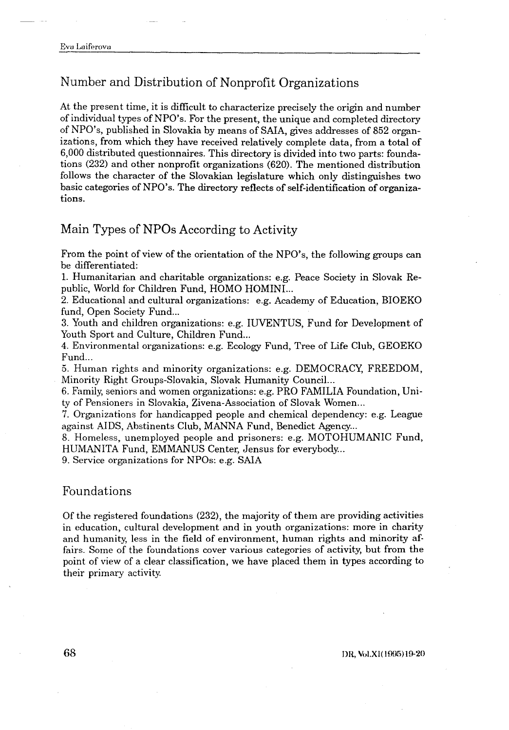# Number and Distribution of Nonprofit Organizations

At the present time, it is difficult to characterize precisely the origin and number of individual types of NPO's . For the present, the unique and completed directory of NPO's, published in Slovakia by means of SAIA, gives addresses of 852 organizations, from which they have received relatively complete data, from a total of 6,000 distributed questionnaires . This directory is divided into two parts : foundations (232) and other nonprofit organizations (620) . The mentioned distribution follows the character of the Slovakian legislature which only distinguishes two basic categories of NPO's . The directory reflects of self-identification of organizations.

# Main Types of NPOs According to Activity

From the point of view of the orientation of the NPO's, the following groups can be differentiated:

1 . Humanitarian and charitable organizations : e .g. Peace Society in Slovak Republic, World for Children Fund, HOMO HOMINI...

2. Educational and cultural organizations: e.g. Academy of Education, BIOEKO fund, Open Society Fund...

3 . Youth and children organizations : e .g. IUVENTUS, Fund for Development of Youth Sport and Culture, Children Fund...

4. Environmental organizations: e.g. Ecology Fund, Tree of Life Club, GEOEKO Fund...

<sup>5</sup> . Human rights and minority organizations : e .g . DEMOCRACY, FREEDOM, Minority Right Groups-Slovakia, Slovak Humanity Council...

6. Family, seniors and women organizations : e .g. PRO FAMILIA Foundation, Unity of Pensioners in Slovakia, Zivena-Association of Slovak Women...

7 . Organizations for handicapped people and chemical dependency : e .g. League against AIDS, Abstinents Club, MANNA Fund, Benedict Agency...

<sup>8</sup> . Homeless, unemployed people and prisoners : e .g . MOTOHUMANIC Fund, HUMANITA Fund, EMMANUS Center, Jensus for everybody. . .

9. Service organizations for NPOs: e.g. SAIA

#### Foundations

Of the registered foundations (232), the majority of them are providing activities in education, cultural development and in youth organizations : more in charity and humanity, less in the field of environment, human rights and minority affairs . Some of the foundations cover various categories of activity, but from the point of view of a clear classification, we have placed them in types according to their primary activity.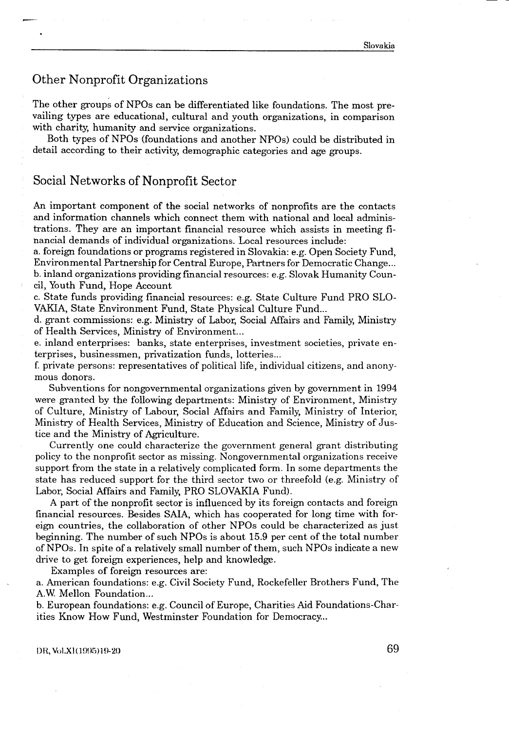# Other Nonprofit Organizations

The other groups of NPOs can be differentiated like foundations . The most prevailing types are educational, cultural and youth organizations, in comparison with charity, humanity and service organizations.

Both types of NPOs (foundations and another NPOs) could be distributed in detail according to their activity, demographic categories and age groups.

## Social Networks of Nonprofit Sector

An important component of the social networks of nonprofits are the contacts and information channels which connect them with national and local administrations . They are an important financial resource which assists in meeting financial demands of individual organizations . Local resources include :

a . foreign foundations or programs registered in Slovakia : e .g . Open Society Fund, Environmental Partnership for Central Europe, Partners for Democratic Change . . . b. inland organizations providing fmancial resources : e .g . Slovak Humanity Council, Youth Fund, Hope Account

c . State funds providing financial resources : e .g. State Culture Fund PRO SLO-VAKIA, State Environment Fund, State Physical Culture Fund...

d . grant commissions: e .g . Ministry of Labor, Social Affairs and Family, Ministry of Health Services, Ministry of Environment...

e. inland enterprises: banks, state enterprises, investment societies, private enterprises, businessmen, privatization funds, lotteries...

f. private persons: representatives of political life, individual citizens, and anonymous donors.

Subventions for nongovernmental organizations given by government in 1994 were granted by the following departments : Ministry of Environment, Ministry of Culture, Ministry of Labour, Social Affairs and Family, Ministry of Interior, Ministry of Health Services, Ministry of Education and Science, Ministry of Justice and the Ministry of Agriculture .

Currently one could characterize the government general grant distributing policy to the nonprofit sector as missing . Nongovernmental organizations receive support from the state in a relatively complicated form . In some departments the state has reduced support for the third sector two or threefold (e.g. Ministry of Labor, Social Affairs and Family, PRO SLOVAKIA Fund) .

A part of the nonprofit sector is influenced by its foreign contacts and foreign financial resources . Besides SAIA, which has cooperated for long time with foreign countries, the collaboration of other NPOs could be characterized as just beginning. The number of such NPOs is about 15.9 per cent of the total number of NPOs . In spite of a relatively small number of them, such NPOs indicate a new drive to get foreign experiences, help and knowledge .

Examples of foreign resources are :

a . American foundations : e .g. Civil Society Fund, Rockefeller Brothers Fund, The A.W. Mellon Foundation...

b. European foundations: e.g. Council of Europe, Charities Aid Foundations-Charities Know How Fund, Westminster Foundation for Democracy...

DR, Vol.XI(1995)19-20 69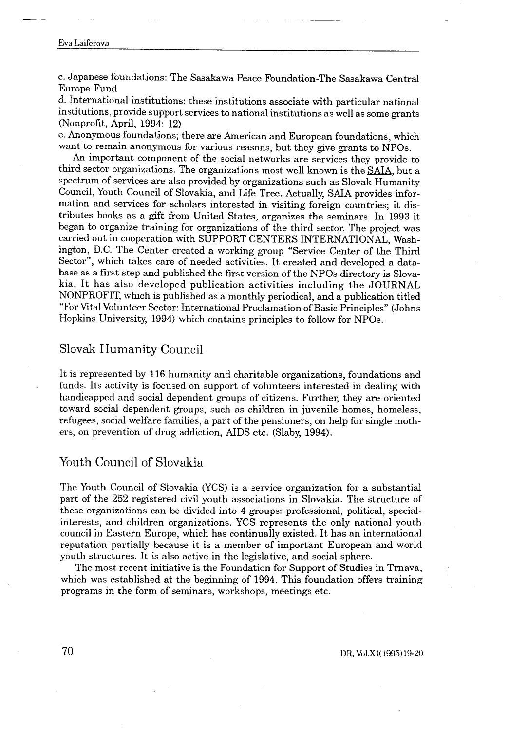Eva Laiferova  $\frac{1}{1 + \frac{1}{1 + \frac{1}{1 + \frac{1}{1 + \frac{1}{1 + \frac{1}{1 + \frac{1}{1 + \frac{1}{1 + \frac{1}{1 + \frac{1}{1 + \frac{1}{1 + \frac{1}{1 + \frac{1}{1 + \frac{1}{1 + \frac{1}{1 + \frac{1}{1 + \frac{1}{1 + \frac{1}{1 + \frac{1}{1 + \frac{1}{1 + \frac{1}{1 + \frac{1}{1 + \frac{1}{1 + \frac{1}{1 + \frac{1}{1 + \frac{1}{1 + \frac{1}{1 + \frac{1}{1 + \frac{1}{1 + \frac{1}{1 + \frac{1}{1 + \frac{$ 

> c. Japanese foundations: The Sasakawa Peace Foundation-The Sasakawa Central Europe Fund

> d. International institutions : these institutions associate with particular national institutions, provide support services to national institutions as well as some grants (Nonprofit, April, 1994: 12)

> e. Anonymous foundations; there are American and European foundations, which want to remain anonymous for various reasons, but they give grants to NPOs.

> An important component of the social networks are services they provide to third sector organizations. The organizations most well known is the SAIA, but a spectrum of services are also provided by organizations such as Slovak Humanity Council, Youth Council of Slovakia, and Life Tree . Actually, SAIA provides information and services for scholars interested in visiting foreign countries; it distributes books as a gift from United States, organizes the seminars . In 1993 it began to organize training for organizations of the third sector . The project was carried out in cooperation with SUPPORT CENTERS INTERNATIONAL, Washington, D.C. The Center created a working group "Service Center of the Third Sector", which takes care of needed activities. It created and developed a database as a first step and published the first version of the NPOs directory is Slovakia . It has also developed publication activities including the JOURNAL NONPROFIT, which is published as a monthly periodical, and a publication titled "For Vital Volunteer Sector: International Proclamation of Basic Principles" (Johns Hopkins University, 1994) which contains principles to follow for NPOs .

## Slovak Humanity Council

It is represented by 116 humanity and charitable organizations, foundations and funds. Its activity is focused on support of volunteers interested in dealing with handicapped and social dependent groups of citizens . Further, they are oriented toward social dependent groups, such as children in juvenile homes, homeless, refugees, social welfare families, a part of the pensioners, on help for single mothers, on prevention of drug addiction, AIDS etc. (Slaby, 1994) .

### Youth Council of Slovakia

The Youth Council of Slovakia (YCS) is a service organization for a substantial part of the 252 registered civil youth associations in Slovakia . The structure of these organizations can be divided into 4 groups: professional, political, specialinterests, and children organizations . YCS represents the only national youth council in Eastern Europe, which has continually existed . It has an international reputation partially because it is a member of important European and world youth structures. It is also active in the legislative, and social sphere.

The most recent initiative is the Foundation for Support of Studies in Trnava, which was established at the beginning of 1994 . This foundation offers training programs in the form of seminars, workshops, meetings etc .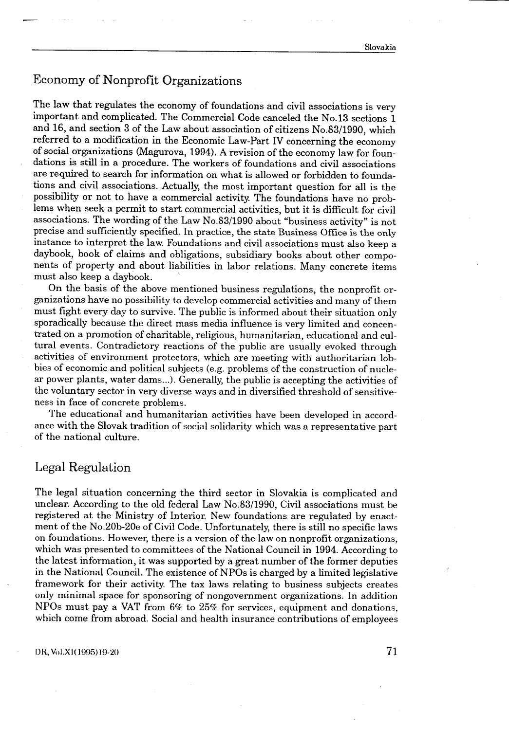# Economy of Nonprofit Organizations

 

The law that regulates the economy of foundations and civil associations is very important and complicated. The Commercial Code canceled the No.13 sections 1 and 16, and section 3 of the Law about association of citizens No .83/1990, which referred to a modification in the Economic Law-Part IV concerning the economy of social organizations (Magurova, 1994) . A revision of the economy law for foundations is still in a procedure . The workers of foundations and civil associations are required to search for information on what is allowed or forbidden to foundations and civil associations . Actually, the most important question for all is the possibility or not to have a commercial activity. The foundations have no problems when seek a permit to start commercial activities, but it is difficult for civil associations. The wording of the Law No .83/1990 about "business activity" is not precise and sufficiently specified . In practice, the state Business Office is the only instance to interpret the law. Foundations and civil associations must also keep a daybook, book of claims and obligations, subsidiary books about other components of property and about liabilities in labor relations . Many concrete items must also keep a daybook.

On the basis of the above mentioned business regulations, the nonprofit organizations have no possibility to develop commercial activities and many of them must fight every day to survive. The public is informed about their situation only sporadically because the direct mass media influence is very limited and concentrated on a promotion of charitable, religious, humanitarian, educational and culp tural events . Contradictory reactions of the public are usually evoked through activities of environment protectors, which are meeting with authoritarian lobbies of economic and political subjects (e .g . problems of the construction of nuclear power plants, water dams...). Generally, the public is accepting the activities of the voluntary sector in very diverse ways and in diversified threshold of sensitiveness in face of concrete problems .

The educational and humanitarian activities have been developed in accordance with the Slovak tradition of social solidarity which was a representative part of the national culture .

# Legal Regulation

The legal situation concerning the third sector in Slovakia is complicated and unclear. According to the old federal Law No .83/1990, Civil associations must be registered at the Ministry of Interior. New foundations are regulated by enactment of the No .20b-20e of Civil Code . Unfortunately, there is still no specific laws on foundations . However, there is a version of the law on nonprofit organizations, which was presented to committees of the National Council in 1994. According to the latest information, it was supported by a great number of the former deputies in the National Council . The existence of NPOs is charged by a limited legislative framework for their activity . The tax laws relating to business subjects creates only minimal space for sponsoring of nongovernment organizations . In addition NPOs must pay a VAT from 6% to 25% for services, equipment and donations, which come from abroad. Social and health insurance contributions of employees

#### DR, Vol.XI(1995)19-20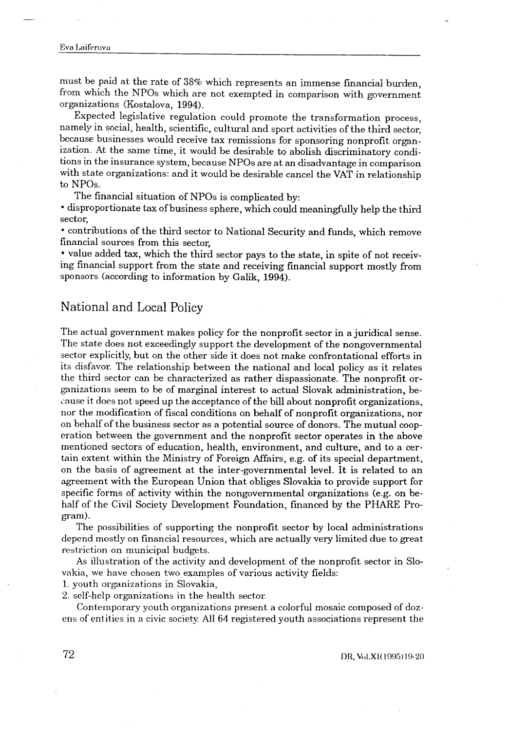# Eva Laiferova  $\frac{1}{\sqrt{2}}\int_{0}^{\sqrt{2}}\frac{1}{\sqrt{2}}\left( \frac{1}{\sqrt{2}}\right) ^{2}d\mu d\mu d\nu$

 $\frac{1}{\sqrt{2}}$ 

must be paid at the rate of 38% which represents an immense financial burden, from which the NPOs which are not exempted in comparison with government organizations (Kostalova, 1994) .

Expected legislative regulation could promote the transformation process, namely in social, health, scientific, cultural and sport activities of the third sector, because businesses would receive tax remissions for sponsoring nonprofit organization. At the same time, it would be desirable to abolish discriminatory conditions in the insurance system, because NPOs are at an disadvantage in comparison with state organizations: and it would be desirable cancel the VAT in relationship to NPOs.

The financial situation of NPOs is complicated by :

• disproportionate tax of business sphere, which could meaningfully help the third sector,

• contributions of the third sector to National Security and funds, which remove financial sources from this sector,

• value added tax, which the third sector pays to the state, in spite of not receiving financial support from the state and receiving financial support mostly from sponsors (according to information by Galik, 1994).

# National and Local Policy

The actual government makes policy for the nonprofit sector in a juridical sense . The state does not exceedingly support the development of the nongovernmental sector explicitly, but on the other side it does not make confrontational efforts in its disfavor. The relationship between the national and local policy as it relates the third sector can be characterized as rather dispassionate . The nonprofit organizations seen to be of marginal interest to actual Slovak administration, because it does not speed up the acceptance of the bill about nonprofit organizations, nor the modification of fiscal conditions on behalf of nonprofit organizations, nor on behalf of the business sector as a potential source of donors . The mutual cooperation between the government and the nonprofit sector operates in the above mentioned sectors of education, health, environment, and culture, and to a certain extent within the Ministry of Foreign Affairs, e.g. of its special department, on the basis of agreement at the inter-governmental level . It is related to an agreement with the European Union that obliges Slovakia to provide support for specific forms of activity within the nongovernmental organizations (e.g. on behalf of the Civil Society Development Foundation, financed by the PHARE Program).

The possibilities of supporting the nonprofit sector by local administrations depend mostly on financial resources, which are actually very limited due to great restriction on municipal budgets.

As illustration of the activity and development of the nonprofit sector in Slovakia, we have chosen two examples of various activity fields:

1 . youth organizations in Slovakia,

2 . self-help organizations in the health sector.

Contemporary youth organizations present a colorful mosaic composed of dozens of entities in a civic society. All 64 registered youth associations represent the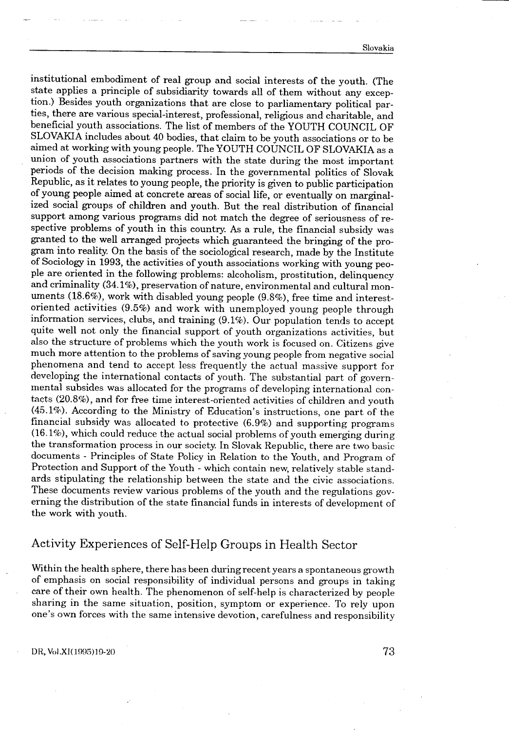Slovakia

institutional embodiment of real group and social interests of the youth . (The state applies a principle of subsidiarity towards all of them without any exception .) Besides youth organizations that are close to parliamentary political parties, there are various special-interest, professional, religious and charitable, and beneficial youth associations . The list of members of the YOUTH COUNCIL OF SLOVAKIA includes about 40 bodies, that claim to be youth associations or to be aimed at working with young people . The YOUTH COUNCIL OF SLOVAKIA as a union of youth associations partners with the state during the most important periods of the decision making process . In the governmental politics of Slovak Republic, as it relates to young people, the priority is given to public participation of young people aimed at concrete areas of social life, or eventually on marginalized social groups of children and youth . But the real distribution of financial support among various programs did not match the degree of seriousness of respective problems of youth in this country . As a rule, the financial subsidy was granted to the well arranged projects which guaranteed the bringing of the program into reality. On the basis of the sociological research, made by the Institute of Sociology in 1993, the activities of youth associations working with young people are oriented in the following problems: alcoholism, prostitution, delinquency and criminality (34 .1%), preservation of nature, environmental and cultural monuments (18.6%), work with disabled young people (9.8%), free time and interestoriented activities (9 .5%) and work with unemployed young people through information services, clubs, and training (9 .1%). Our population tends to accept quite well not only the financial support of youth organizations activities, but also the structure of problems which the youth work is focused on . Citizens give much more attention to the problems of saving young people from negative social phenomena and tend to accept less frequently the actual massive support for developing the international contacts of youth. The substantial part of governmental subsides was allocated for the programs of developing international contacts (20 .8%), and for free time interest-oriented activities of children and youth (45 .1%). According to the Ministry of Education's instructions, one part of the financial subsidy was allocated to protective (6 .9%) and supporting programs (16 .1%), which could reduce the actual social problems of youth emerging during the transformation process in our society . In Slovak Republic, there are two basic documents - Principles of State Policy in Relation to the Youth, and Program of Protection and Support of the Youth - which contain new, relatively stable standards stipulating the relationship between the state and the civic associations. These documents review various problems of the youth and the regulations governing the distribution of the state financial funds in interests of development of the work with youth.

# Activity Experiences of Self-Help Groups in Health Sector

Within the health sphere, there has been during recent years a spontaneous growth of emphasis on social responsibility of individual persons and groups in taking care of their own health . The phenomenon of self-help is characterized by people sharing in the same situation, position, symptom or experience . To rely upon one's own forces with the same intensive devotion, carefulness and responsibility

DR, VoI .X1(I995)19-20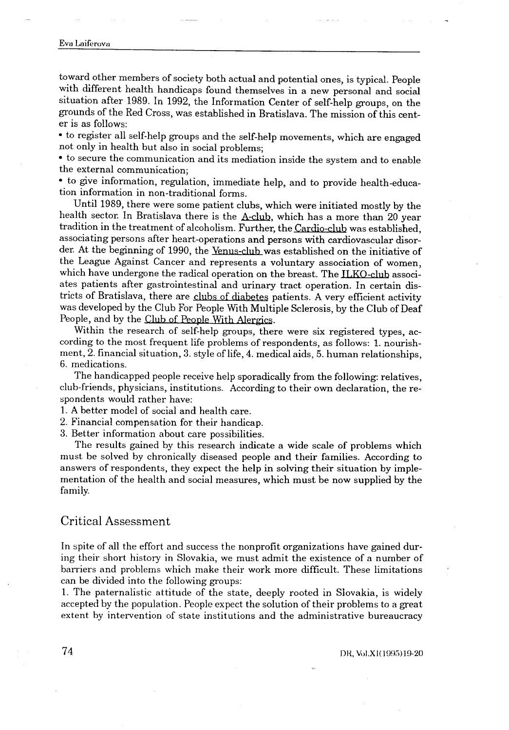# Eva Laiferova  $\begin{aligned} \n\frac{1}{2} \nabla \cdot \nabla \cdot \nabla \cdot \nabla \cdot \nabla \cdot \nabla \cdot \nabla \cdot \nabla \cdot \nabla \cdot \nabla \cdot \nabla \cdot \nabla \cdot \nabla \cdot \nabla \cdot \nabla \cdot \nabla \cdot \nabla \cdot \nabla \cdot \nabla \cdot \nabla \cdot \nabla \cdot \nabla \cdot \nabla \cdot \nabla \cdot \nabla \cdot \nabla \cdot \nabla \cdot \nabla \cdot \nabla \cdot \nabla \cdot \nabla \cdot \nabla \cdot \nabla \cdot \nabla \cdot \n$

 $\label{eq:2.1} \frac{1}{\sqrt{2}}\int_{0}^{\pi} \frac{1}{\sqrt{2\pi}}\left(\frac{1}{\sqrt{2\pi}}\right)^{2}d\mu$ 

toward other members of society both actual and potential ones, is typical . People with different health handicaps found themselves in a new personal and social situation after 1989 . In 1992, the Information Center of self-help groups, on the grounds of the Red Cross, was established in Bratislava . The mission of this center is as follows :

• to register all self-help groups and the self-help movements, which are engaged not only in health but also in social problems;

• to secure the communication and its mediation inside the system and to enable the external communication;

• to give information, regulation, immediate help, and to provide health-education information in non-traditional forms.

Until 1989, there were some patient clubs, which were initiated mostly by the health sector. In Bratislava there is the A-club, which has a more than 20 year tradition in the treatment of alcoholism. Further, the Cardio-club was established, associating persons after heart-operations and persons with cardiovascular disorder. At the beginning of 1990, the Venus-club was established on the initiative of the League Against Cancer and represents a voluntary association of women, which have undergone the radical operation on the breast. The ILKO-club associates patients after gastrointestinal and urinary tract operation . In certain districts of Bratislava, there are clubs of diabetes patients . A very efficient activity was developed by the Club For People With Multiple Sclerosis, by the Club of Deaf People, and by the Club of People With Alergics .

Within the research of self-help groups, there were six registered types, according to the most frequent life problems of respondents, as follows: 1. nourishment, 2 . financial situation, 3 . style of life, 4 . medical aids, 5 . human relationships, 6. medications.

The handicapped people receive help sporadically from the following: relatives, club-friends, physicians, institutions . According to their own declaration, the respondents would rather have:

1 . A better model of social and health care .

2. Financial compensation for their handicap.

3 . Better information about care possibilities .

The results gained by this research indicate a wide scale of problems which must be solved by chronically diseased people and their families . According to answers of respondents, they expect the help in solving their situation by implementation of the health and social measures, which must be now supplied by the family.

### Critical Assessment

In spite of all the effort and success the nonprofit organizations have gained during their short history in Slovakia, we must admit the existence of a number of barriers and problems which make their work more difficult. These limitations can be divided into the following groups:

<sup>1</sup> . The paternalistic attitude of the state, deeply rooted in Slovakia, is widely accepted by the population . People expect the solution of their problems to a great extent by intervention of state institutions and the administrative bureaucracy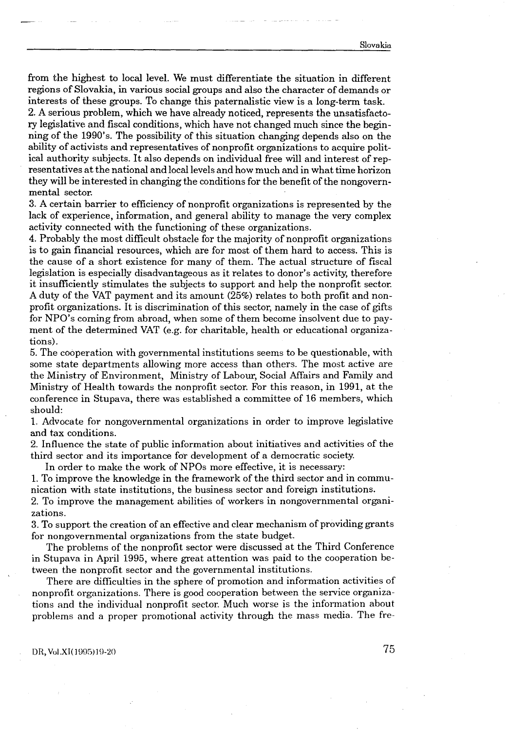from the highest to local level . We must differentiate the situation in different regions of Slovakia, in various social groups and also the character of demands or interests of these groups. To change this paternalistic view is a long-term task .

2 . A serious problem, which we have already noticed, represents the unsatisfactory legislative and fiscal conditions, which have not changed much since the begin ning of the 1990's. The possibility of this situation changing depends also on the ability of activists and representatives of nonprofit organizations to acquire political authority subjects . It also depends on individual free will and interest of representatives at the national and local levels and how much and in what time horizon they will be interested in changing the conditions for the benefit of the nongovernmental sector.

3 . A certain barrier to efficiency of nonprofit organizations is represented by the lack of experience, information, and general ability to manage the very complex activity connected with the functioning of these organizations .

4 . Probably the most difficult obstacle for the majority of nonprofit organizations is to gain financial resources, which are for most of them hard to access. This is the cause of a short existence for many of them . The actual structure of fiscal legislation is especially disadvantageous as it relates to donor's activity, therefore it insufficiently stimulates the subjects to support and help the nonprofit sector . A duty of the VAT payment and its amount (25%) relates to both profit and nonprofit organizations . It is discrimination of this sector, namely in the case of gifts for NPO's coming from abroad, when some of them become insolvent due to payment of the determined VAT (e.g. for charitable, health or educational organizations).

5 . The cooperation with governmental institutions seems to be questionable, with some state departments allowing more access than others . The most active are the Ministry of Environment, Ministry of Labour, Social Affairs and Family and Ministry of Health towards the nonprofit sector . For this reason, in 1991, at the conference in Stupava, there was established a committee of 16 members, which should:

<sup>1</sup> . Advocate for nongovernmental organizations in order to improve legislative and tax conditions.

2. Influence the state of public information about initiatives and activities of the third sector and its importance for development of a democratic society .

In order to make the work of NPOs more effective, it is necessary:

1 . To improve the knowledge in the framework of the third sector and in communication with state institutions, the business sector and foreign institutions .

2 . To improve the management abilities of workers in nongovernmental organizations.

3 . To support the creation of an effective and clear mechanism of providing grants for nongovernmental organizations from the state budget.

The problems of the nonprofit sector were discussed at the Third Conference in Stupava in April 1995, where great attention was paid to the cooperation between the nonprofit sector and the governmental institutions.

There are difficulties in the sphere of promotion and information activities of nonprofit organizations. There is good cooperation between the service organizations and the individual nonprofit sector. Much worse is the information about problems and a proper promotional activity through the mass media. The fre-

DR, Vol.XI(1995)19-20